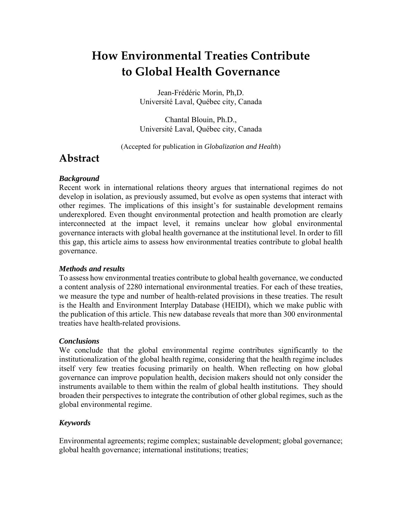# **How Environmental Treaties Contribute to Global Health Governance**

Jean-Frédéric Morin, Ph,D. Université Laval, Québec city, Canada

Chantal Blouin, Ph.D., Université Laval, Québec city, Canada

(Accepted for publication in *Globalization and Health*)

### **Abstract**

#### *Background*

Recent work in international relations theory argues that international regimes do not develop in isolation, as previously assumed, but evolve as open systems that interact with other regimes. The implications of this insight's for sustainable development remains underexplored. Even thought environmental protection and health promotion are clearly interconnected at the impact level, it remains unclear how global environmental governance interacts with global health governance at the institutional level. In order to fill this gap, this article aims to assess how environmental treaties contribute to global health governance.

#### *Methods and results*

To assess how environmental treaties contribute to global health governance, we conducted a content analysis of 2280 international environmental treaties. For each of these treaties, we measure the type and number of health-related provisions in these treaties. The result is the Health and Environment Interplay Database (HEIDI), which we make public with the publication of this article. This new database reveals that more than 300 environmental treaties have health-related provisions.

#### *Conclusions*

We conclude that the global environmental regime contributes significantly to the institutionalization of the global health regime, considering that the health regime includes itself very few treaties focusing primarily on health. When reflecting on how global governance can improve population health, decision makers should not only consider the instruments available to them within the realm of global health institutions. They should broaden their perspectives to integrate the contribution of other global regimes, such as the global environmental regime.

#### *Keywords*

Environmental agreements; regime complex; sustainable development; global governance; global health governance; international institutions; treaties;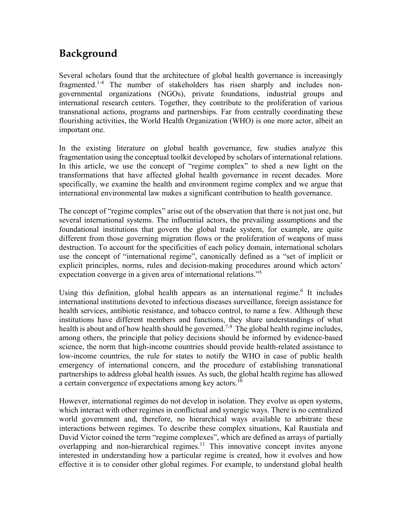## **Background**

Several scholars found that the architecture of global health governance is increasingly fragmented.<sup>1-4</sup> The number of stakeholders has risen sharply and includes nongovernmental organizations (NGOs), private foundations, industrial groups and international research centers. Together, they contribute to the proliferation of various transnational actions, programs and partnerships. Far from centrally coordinating these flourishing activities, the World Health Organization (WHO) is one more actor, albeit an important one.

In the existing literature on global health governance, few studies analyze this fragmentation using the conceptual toolkit developed by scholars of international relations. In this article, we use the concept of "regime complex" to shed a new light on the transformations that have affected global health governance in recent decades. More specifically, we examine the health and environment regime complex and we argue that international environmental law makes a significant contribution to health governance.

The concept of "regime complex" arise out of the observation that there is not just one, but several international systems. The influential actors, the prevailing assumptions and the foundational institutions that govern the global trade system, for example, are quite different from those governing migration flows or the proliferation of weapons of mass destruction. To account for the specificities of each policy domain, international scholars use the concept of "international regime", canonically defined as a "set of implicit or explicit principles, norms, rules and decision-making procedures around which actors' expectation converge in a given area of international relations."<sup>5</sup>

Using this definition, global health appears as an international regime.<sup>6</sup> It includes international institutions devoted to infectious diseases surveillance, foreign assistance for health services, antibiotic resistance, and tobacco control, to name a few. Although these institutions have different members and functions, they share understandings of what health is about and of how health should be governed.<sup>7-9</sup> The global health regime includes, among others, the principle that policy decisions should be informed by evidence-based science, the norm that high-income countries should provide health-related assistance to low-income countries, the rule for states to notify the WHO in case of public health emergency of international concern, and the procedure of establishing transnational partnerships to address global health issues. As such, the global health regime has allowed a certain convergence of expectations among key actors.<sup>10</sup>

However, international regimes do not develop in isolation. They evolve as open systems, which interact with other regimes in conflictual and synergic ways. There is no centralized world government and, therefore, no hierarchical ways available to arbitrate these interactions between regimes. To describe these complex situations, Kal Raustiala and David Victor coined the term "regime complexes", which are defined as arrays of partially overlapping and non-hierarchical regimes.<sup>11</sup> This innovative concept invites anyone interested in understanding how a particular regime is created, how it evolves and how effective it is to consider other global regimes. For example, to understand global health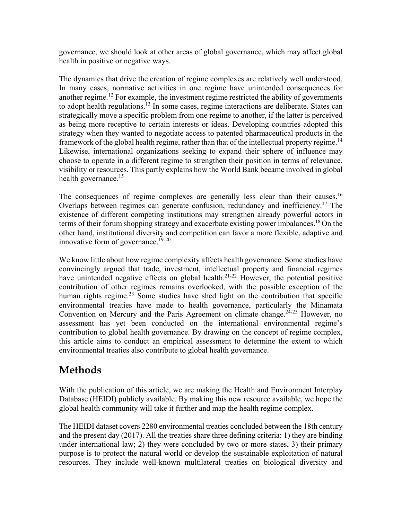governance, we should look at other areas of global governance, which may affect global health in positive or negative ways.

The dynamics that drive the creation of regime complexes are relatively well understood. In many cases, normative activities in one regime have unintended consequences for another regime.<sup>12</sup> For example, the investment regime restricted the ability of governments to adopt health regulations. $^{13}$  In some cases, regime interactions are deliberate. States can strategically move a specific problem from one regime to another, if the latter is perceived as being more receptive to certain interests or ideas. Developing countries adopted this strategy when they wanted to negotiate access to patented pharmaceutical products in the framework of the global health regime, rather than that of the intellectual property regime.<sup>14</sup> Likewise, international organizations seeking to expand their sphere of influence may choose to operate in a different regime to strengthen their position in terms of relevance, visibility or resources. This partly explains how the World Bank became involved in global health governance.<sup>15</sup>

The consequences of regime complexes are generally less clear than their causes.<sup>16</sup> Overlaps between regimes can generate confusion, redundancy and inefficiency.<sup>17</sup> The existence of different competing institutions may strengthen already powerful actors in terms of their forum shopping strategy and exacerbate existing power imbalances.<sup>18</sup> On the other hand, institutional diversity and competition can favor a more flexible, adaptive and innovative form of governance.<sup>19-20</sup>

We know little about how regime complexity affects health governance. Some studies have convincingly argued that trade, investment, intellectual property and financial regimes have unintended negative effects on global health.<sup>21-22</sup> However, the potential positive contribution of other regimes remains overlooked, with the possible exception of the human rights regime.<sup>23</sup> Some studies have shed light on the contribution that specific environmental treaties have made to health governance, particularly the Minamata Convention on Mercury and the Paris Agreement on climate change. 24-25 However, no assessment has yet been conducted on the international environmental regime's contribution to global health governance. By drawing on the concept of regime complex, this article aims to conduct an empirical assessment to determine the extent to which environmental treaties also contribute to global health governance.

## **Methods**

With the publication of this article, we are making the Health and Environment Interplay Database (HEIDI) publicly available. By making this new resource available, we hope the global health community will take it further and map the health regime complex.

The HEIDI dataset covers 2280 environmental treaties concluded between the 18th century and the present day (2017). All the treaties share three defining criteria: 1) they are binding under international law; 2) they were concluded by two or more states, 3) their primary purpose is to protect the natural world or develop the sustainable exploitation of natural resources. They include well-known multilateral treaties on biological diversity and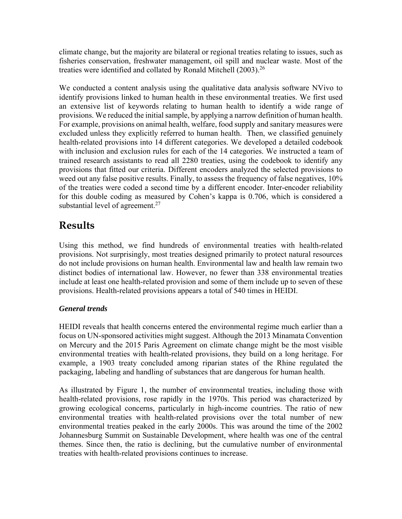climate change, but the majority are bilateral or regional treaties relating to issues, such as fisheries conservation, freshwater management, oil spill and nuclear waste. Most of the treaties were identified and collated by Ronald Mitchell (2003).<sup>26</sup>

We conducted a content analysis using the qualitative data analysis software NVivo to identify provisions linked to human health in these environmental treaties. We first used an extensive list of keywords relating to human health to identify a wide range of provisions. We reduced the initial sample, by applying a narrow definition of human health. For example, provisions on animal health, welfare, food supply and sanitary measures were excluded unless they explicitly referred to human health. Then, we classified genuinely health-related provisions into 14 different categories. We developed a detailed codebook with inclusion and exclusion rules for each of the 14 categories. We instructed a team of trained research assistants to read all 2280 treaties, using the codebook to identify any provisions that fitted our criteria. Different encoders analyzed the selected provisions to weed out any false positive results. Finally, to assess the frequency of false negatives, 10% of the treaties were coded a second time by a different encoder. Inter-encoder reliability for this double coding as measured by Cohen's kappa is 0.706, which is considered a substantial level of agreement. $27$ 

## **Results**

Using this method, we find hundreds of environmental treaties with health-related provisions. Not surprisingly, most treaties designed primarily to protect natural resources do not include provisions on human health. Environmental law and health law remain two distinct bodies of international law. However, no fewer than 338 environmental treaties include at least one health-related provision and some of them include up to seven of these provisions. Health-related provisions appears a total of 540 times in HEIDI.

### *General trends*

HEIDI reveals that health concerns entered the environmental regime much earlier than a focus on UN-sponsored activities might suggest. Although the 2013 Minamata Convention on Mercury and the 2015 Paris Agreement on climate change might be the most visible environmental treaties with health-related provisions, they build on a long heritage. For example, a 1903 treaty concluded among riparian states of the Rhine regulated the packaging, labeling and handling of substances that are dangerous for human health.

As illustrated by Figure 1, the number of environmental treaties, including those with health-related provisions, rose rapidly in the 1970s. This period was characterized by growing ecological concerns, particularly in high-income countries. The ratio of new environmental treaties with health-related provisions over the total number of new environmental treaties peaked in the early 2000s. This was around the time of the 2002 Johannesburg Summit on Sustainable Development, where health was one of the central themes. Since then, the ratio is declining, but the cumulative number of environmental treaties with health-related provisions continues to increase.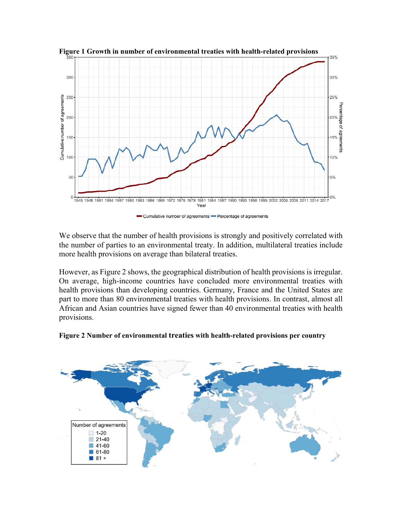

**Figure 1 Growth in number of environmental treaties with health-related provisions** 

- Cumulative number of agreements - Percentage of agreements

We observe that the number of health provisions is strongly and positively correlated with the number of parties to an environmental treaty. In addition, multilateral treaties include more health provisions on average than bilateral treaties.

However, as Figure 2 shows, the geographical distribution of health provisions is irregular. On average, high-income countries have concluded more environmental treaties with health provisions than developing countries. Germany, France and the United States are part to more than 80 environmental treaties with health provisions. In contrast, almost all African and Asian countries have signed fewer than 40 environmental treaties with health provisions.



#### **Figure 2 Number of environmental treaties with health-related provisions per country**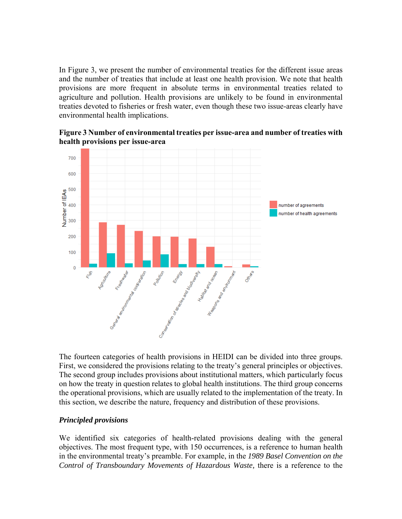In Figure 3, we present the number of environmental treaties for the different issue areas and the number of treaties that include at least one health provision. We note that health provisions are more frequent in absolute terms in environmental treaties related to agriculture and pollution. Health provisions are unlikely to be found in environmental treaties devoted to fisheries or fresh water, even though these two issue-areas clearly have environmental health implications.



**Figure 3 Number of environmental treaties per issue-area and number of treaties with health provisions per issue-area** 

The fourteen categories of health provisions in HEIDI can be divided into three groups. First, we considered the provisions relating to the treaty's general principles or objectives. The second group includes provisions about institutional matters, which particularly focus on how the treaty in question relates to global health institutions. The third group concerns the operational provisions, which are usually related to the implementation of the treaty. In this section, we describe the nature, frequency and distribution of these provisions.

#### *Principled provisions*

We identified six categories of health-related provisions dealing with the general objectives. The most frequent type, with 150 occurrences, is a reference to human health in the environmental treaty's preamble. For example, in the *1989 Basel Convention on the Control of Transboundary Movements of Hazardous Waste,* there is a reference to the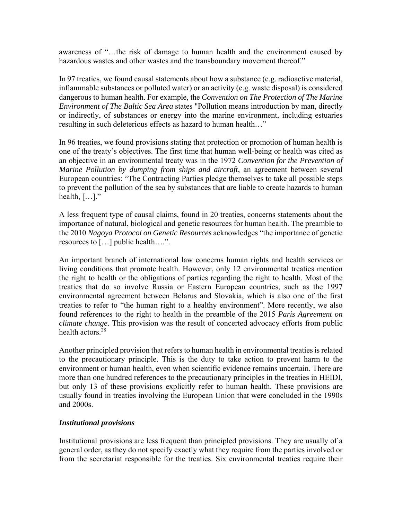awareness of "…the risk of damage to human health and the environment caused by hazardous wastes and other wastes and the transboundary movement thereof."

In 97 treaties, we found causal statements about how a substance (e.g. radioactive material, inflammable substances or polluted water) or an activity (e.g. waste disposal) is considered dangerous to human health. For example, the *Convention on The Protection of The Marine Environment of The Baltic Sea Area* states "Pollution means introduction by man, directly or indirectly, of substances or energy into the marine environment, including estuaries resulting in such deleterious effects as hazard to human health…"

In 96 treaties, we found provisions stating that protection or promotion of human health is one of the treaty's objectives. The first time that human well-being or health was cited as an objective in an environmental treaty was in the 1972 *Convention for the Prevention of Marine Pollution by dumping from ships and aircraft*, an agreement between several European countries: "The Contracting Parties pledge themselves to take all possible steps to prevent the pollution of the sea by substances that are liable to create hazards to human health,  $[\dots]$ ."

A less frequent type of causal claims, found in 20 treaties, concerns statements about the importance of natural, biological and genetic resources for human health. The preamble to the 2010 *Nagoya Protocol on Genetic Resources* acknowledges "the importance of genetic resources to […] public health….".

An important branch of international law concerns human rights and health services or living conditions that promote health. However, only 12 environmental treaties mention the right to health or the obligations of parties regarding the right to health. Most of the treaties that do so involve Russia or Eastern European countries, such as the 1997 environmental agreement between Belarus and Slovakia, which is also one of the first treaties to refer to "the human right to a healthy environment". More recently, we also found references to the right to health in the preamble of the 2015 *Paris Agreement on climate change*. This provision was the result of concerted advocacy efforts from public health actors.<sup>28</sup>

Another principled provision that refers to human health in environmental treaties is related to the precautionary principle. This is the duty to take action to prevent harm to the environment or human health, even when scientific evidence remains uncertain. There are more than one hundred references to the precautionary principles in the treaties in HEIDI, but only 13 of these provisions explicitly refer to human health. These provisions are usually found in treaties involving the European Union that were concluded in the 1990s and 2000s.

#### *Institutional provisions*

Institutional provisions are less frequent than principled provisions. They are usually of a general order, as they do not specify exactly what they require from the parties involved or from the secretariat responsible for the treaties. Six environmental treaties require their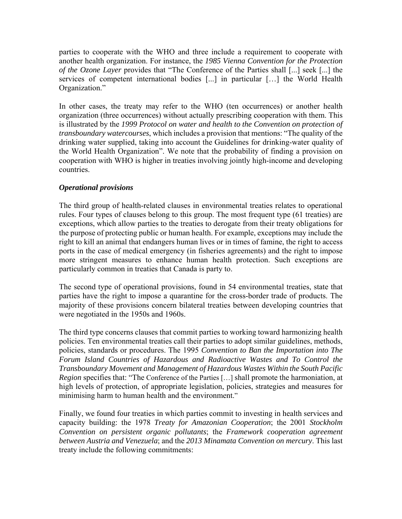parties to cooperate with the WHO and three include a requirement to cooperate with another health organization. For instance, the *1985 Vienna Convention for the Protection of the Ozone Layer* provides that "The Conference of the Parties shall [...] seek [...] the services of competent international bodies [...] in particular […] the World Health Organization."

In other cases, the treaty may refer to the WHO (ten occurrences) or another health organization (three occurrences) without actually prescribing cooperation with them. This is illustrated by the *1999 Protocol on water and health to the Convention on protection of transboundary watercourses*, which includes a provision that mentions: "The quality of the drinking water supplied, taking into account the Guidelines for drinking-water quality of the World Health Organization". We note that the probability of finding a provision on cooperation with WHO is higher in treaties involving jointly high-income and developing countries.

#### *Operational provisions*

The third group of health-related clauses in environmental treaties relates to operational rules. Four types of clauses belong to this group. The most frequent type (61 treaties) are exceptions, which allow parties to the treaties to derogate from their treaty obligations for the purpose of protecting public or human health. For example, exceptions may include the right to kill an animal that endangers human lives or in times of famine, the right to access ports in the case of medical emergency (in fisheries agreements) and the right to impose more stringent measures to enhance human health protection. Such exceptions are particularly common in treaties that Canada is party to.

The second type of operational provisions, found in 54 environmental treaties, state that parties have the right to impose a quarantine for the cross-border trade of products. The majority of these provisions concern bilateral treaties between developing countries that were negotiated in the 1950s and 1960s.

The third type concerns clauses that commit parties to working toward harmonizing health policies. Ten environmental treaties call their parties to adopt similar guidelines, methods, policies, standards or procedures. The 1995 *Convention to Ban the Importation into The Forum Island Countries of Hazardous and Radioactive Wastes and To Control the Transboundary Movement and Management of Hazardous Wastes Within the South Pacific Region* specifies that: "The Conference of the Parties […] shall promote the harmoniation, at high levels of protection, of appropriate legislation, policies, strategies and measures for minimising harm to human health and the environment."

Finally, we found four treaties in which parties commit to investing in health services and capacity building: the 1978 *Treaty for Amazonian Cooperation*; the 2001 *Stockholm Convention on persistent organic pollutants*; the *Framework cooperation agreement between Austria and Venezuela*; and the *2013 Minamata Convention on mercury*. This last treaty include the following commitments: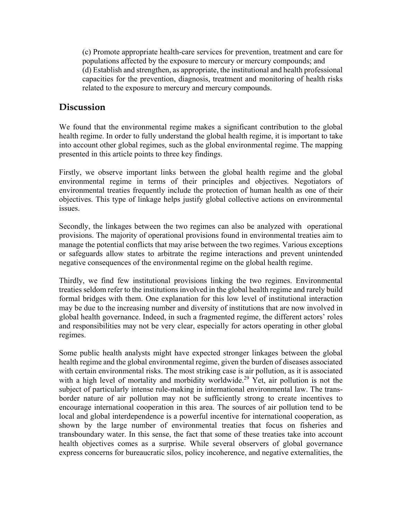(c) Promote appropriate health-care services for prevention, treatment and care for populations affected by the exposure to mercury or mercury compounds; and (d) Establish and strengthen, as appropriate, the institutional and health professional capacities for the prevention, diagnosis, treatment and monitoring of health risks related to the exposure to mercury and mercury compounds.

### **Discussion**

We found that the environmental regime makes a significant contribution to the global health regime. In order to fully understand the global health regime, it is important to take into account other global regimes, such as the global environmental regime. The mapping presented in this article points to three key findings.

Firstly, we observe important links between the global health regime and the global environmental regime in terms of their principles and objectives. Negotiators of environmental treaties frequently include the protection of human health as one of their objectives. This type of linkage helps justify global collective actions on environmental issues.

Secondly, the linkages between the two regimes can also be analyzed with operational provisions. The majority of operational provisions found in environmental treaties aim to manage the potential conflicts that may arise between the two regimes. Various exceptions or safeguards allow states to arbitrate the regime interactions and prevent unintended negative consequences of the environmental regime on the global health regime.

Thirdly, we find few institutional provisions linking the two regimes. Environmental treaties seldom refer to the institutions involved in the global health regime and rarely build formal bridges with them. One explanation for this low level of institutional interaction may be due to the increasing number and diversity of institutions that are now involved in global health governance. Indeed, in such a fragmented regime, the different actors' roles and responsibilities may not be very clear, especially for actors operating in other global regimes.

Some public health analysts might have expected stronger linkages between the global health regime and the global environmental regime, given the burden of diseases associated with certain environmental risks. The most striking case is air pollution, as it is associated with a high level of mortality and morbidity worldwide.<sup>29</sup> Yet, air pollution is not the subject of particularly intense rule-making in international environmental law. The transborder nature of air pollution may not be sufficiently strong to create incentives to encourage international cooperation in this area. The sources of air pollution tend to be local and global interdependence is a powerful incentive for international cooperation, as shown by the large number of environmental treaties that focus on fisheries and transboundary water. In this sense, the fact that some of these treaties take into account health objectives comes as a surprise. While several observers of global governance express concerns for bureaucratic silos, policy incoherence, and negative externalities, the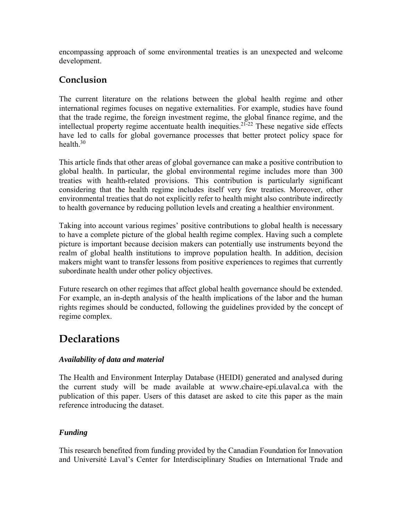encompassing approach of some environmental treaties is an unexpected and welcome development.

### **Conclusion**

The current literature on the relations between the global health regime and other international regimes focuses on negative externalities. For example, studies have found that the trade regime, the foreign investment regime, the global finance regime, and the intellectual property regime accentuate health inequities.<sup>21-22</sup> These negative side effects have led to calls for global governance processes that better protect policy space for health. $30$ 

This article finds that other areas of global governance can make a positive contribution to global health. In particular, the global environmental regime includes more than 300 treaties with health-related provisions. This contribution is particularly significant considering that the health regime includes itself very few treaties. Moreover, other environmental treaties that do not explicitly refer to health might also contribute indirectly to health governance by reducing pollution levels and creating a healthier environment.

Taking into account various regimes' positive contributions to global health is necessary to have a complete picture of the global health regime complex. Having such a complete picture is important because decision makers can potentially use instruments beyond the realm of global health institutions to improve population health. In addition, decision makers might want to transfer lessons from positive experiences to regimes that currently subordinate health under other policy objectives.

Future research on other regimes that affect global health governance should be extended. For example, an in-depth analysis of the health implications of the labor and the human rights regimes should be conducted, following the guidelines provided by the concept of regime complex.

## **Declarations**

#### *Availability of data and material*

The Health and Environment Interplay Database (HEIDI) generated and analysed during the current study will be made available at www.chaire-epi.ulaval.ca with the publication of this paper. Users of this dataset are asked to cite this paper as the main reference introducing the dataset.

#### *Funding*

This research benefited from funding provided by the Canadian Foundation for Innovation and Université Laval's Center for Interdisciplinary Studies on International Trade and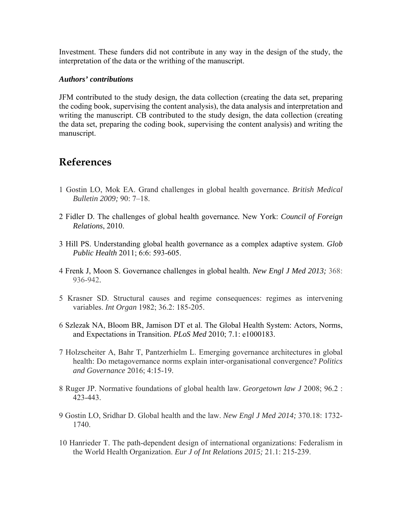Investment. These funders did not contribute in any way in the design of the study, the interpretation of the data or the writhing of the manuscript.

#### *Authors' contributions*

JFM contributed to the study design, the data collection (creating the data set, preparing the coding book, supervising the content analysis), the data analysis and interpretation and writing the manuscript. CB contributed to the study design, the data collection (creating the data set, preparing the coding book, supervising the content analysis) and writing the manuscript.

## **References**

- 1 Gostin LO, Mok EA. Grand challenges in global health governance. *British Medical Bulletin 2009;* 90: 7–18.
- 2 Fidler D. The challenges of global health governance*.* New York: *Council of Foreign Relations*, 2010.
- 3 Hill PS. Understanding global health governance as a complex adaptive system. *Glob Public Health* 2011; 6:6: 593-605.
- 4 Frenk J, Moon S. Governance challenges in global health. *New Engl J Med 2013;* 368: 936-942.
- 5 Krasner SD. Structural causes and regime consequences: regimes as intervening variables. *Int Organ* 1982; 36.2: 185-205.
- 6 Szlezak NA, Bloom BR, Jamison DT et al. The Global Health System: Actors, Norms, and Expectations in Transition. *PLoS Med* 2010; 7.1: e1000183.
- 7 Holzscheiter A, Bahr T, Pantzerhielm L. Emerging governance architectures in global health: Do metagovernance norms explain inter-organisational convergence? *Politics and Governance* 2016; 4:15-19.
- 8 Ruger JP. Normative foundations of global health law. *Georgetown law J* 2008; 96.2 : 423-443.
- 9 Gostin LO, Sridhar D. Global health and the law. *New Engl J Med 2014;* 370.18: 1732- 1740.
- 10 Hanrieder T. The path-dependent design of international organizations: Federalism in the World Health Organization. *Eur J of Int Relations 2015;* 21.1: 215-239.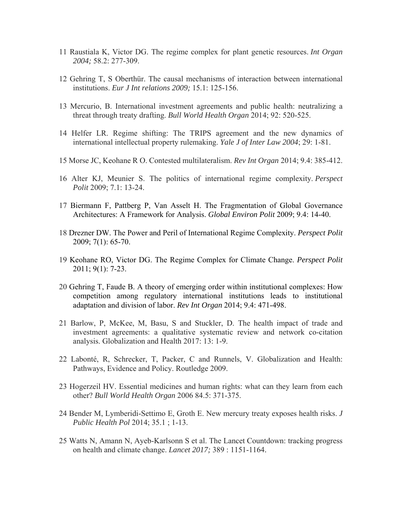- 11 Raustiala K, Victor DG. The regime complex for plant genetic resources. *Int Organ 2004;* 58.2: 277-309.
- 12 Gehring T, S Oberthür. The causal mechanisms of interaction between international institutions. *Eur J Int relations 2009;* 15.1: 125-156.
- 13 Mercurio, B. International investment agreements and public health: neutralizing a threat through treaty drafting. *Bull World Health Organ* 2014; 92: 520-525.
- 14 Helfer LR. Regime shifting: The TRIPS agreement and the new dynamics of international intellectual property rulemaking. *Yale J of Inter Law 2004*; 29: 1-81.
- 15 Morse JC, Keohane R O. Contested multilateralism. *Rev Int Organ* 2014; 9.4: 385-412.
- 16 Alter KJ, Meunier S. The politics of international regime complexity. *Perspect Polit* 2009; 7.1: 13-24.
- 17 Biermann F, Pattberg P, Van Asselt H. The Fragmentation of Global Governance Architectures: A Framework for Analysis. *Global Environ Polit* 2009; 9.4: 14-40.
- 18 Drezner DW. The Power and Peril of International Regime Complexity. *Perspect Polit*  2009; 7(1): 65-70.
- 19 Keohane RO, Victor DG. The Regime Complex for Climate Change. *Perspect Polit*  2011; 9(1): 7-23.
- 20 Gehring T, Faude B. A theory of emerging order within institutional complexes: How competition among regulatory international institutions leads to institutional adaptation and division of labor. *Rev Int Organ* 2014; 9.4: 471-498.
- 21 Barlow, P, McKee, M, Basu, S and Stuckler, D. The health impact of trade and investment agreements: a qualitative systematic review and network co-citation analysis. Globalization and Health 2017: 13: 1-9.
- 22 Labonté, R, Schrecker, T, Packer, C and Runnels, V. Globalization and Health: Pathways, Evidence and Policy. Routledge 2009.
- 23 Hogerzeil HV. Essential medicines and human rights: what can they learn from each other? *Bull World Health Organ* 2006 84.5: 371-375.
- 24 Bender M, Lymberidi-Settimo E, Groth E. New mercury treaty exposes health risks. *J Public Health Pol* 2014; 35.1 ; 1-13.
- 25 Watts N, Amann N, Ayeb-Karlsonn S et al. The Lancet Countdown: tracking progress on health and climate change. *Lancet 2017;* 389 : 1151-1164.